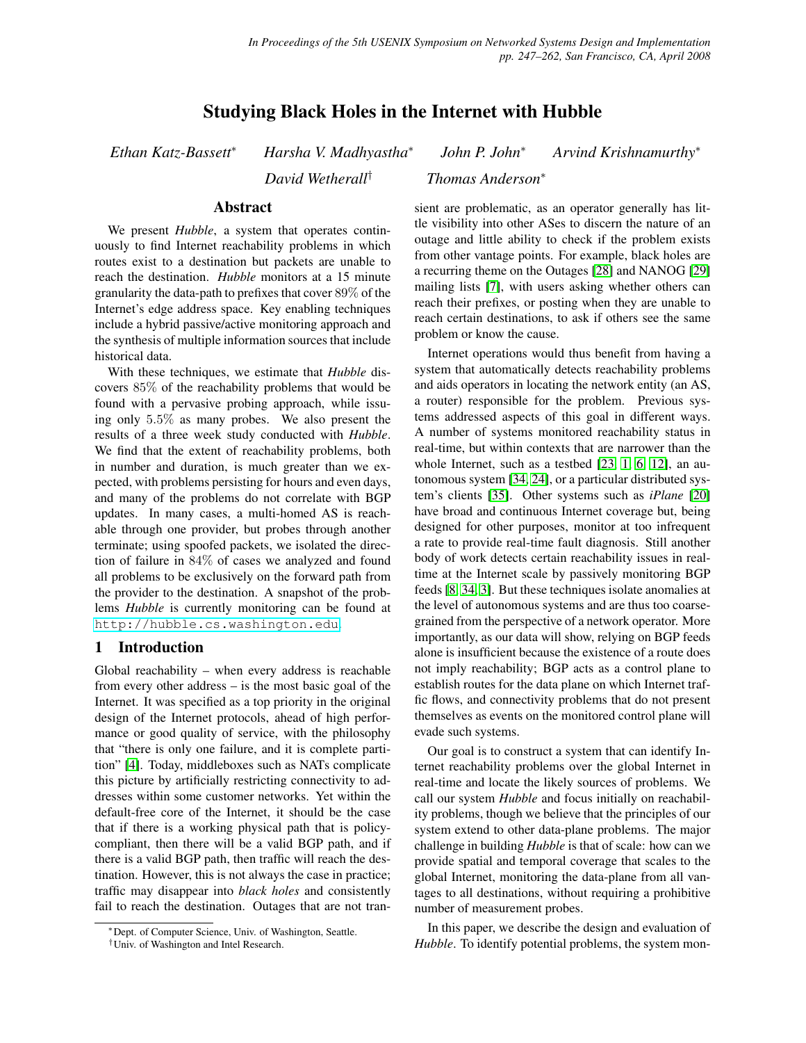# Studying Black Holes in the Internet with Hubble

*Ethan Katz-Bassett*<sup>∗</sup> *Harsha V. Madhyastha*<sup>∗</sup>

*John P. John*<sup>∗</sup> *Arvind Krishnamurthy*<sup>∗</sup>

*David Wetherall*† *Thomas Anderson*<sup>∗</sup>

# Abstract

We present *Hubble*, a system that operates continuously to find Internet reachability problems in which routes exist to a destination but packets are unable to reach the destination. *Hubble* monitors at a 15 minute granularity the data-path to prefixes that cover 89% of the Internet's edge address space. Key enabling techniques include a hybrid passive/active monitoring approach and the synthesis of multiple information sources that include historical data.

With these techniques, we estimate that *Hubble* discovers 85% of the reachability problems that would be found with a pervasive probing approach, while issuing only 5.5% as many probes. We also present the results of a three week study conducted with *Hubble*. We find that the extent of reachability problems, both in number and duration, is much greater than we expected, with problems persisting for hours and even days, and many of the problems do not correlate with BGP updates. In many cases, a multi-homed AS is reachable through one provider, but probes through another terminate; using spoofed packets, we isolated the direction of failure in 84% of cases we analyzed and found all problems to be exclusively on the forward path from the provider to the destination. A snapshot of the problems *Hubble* is currently monitoring can be found at <http://hubble.cs.washington.edu>.

# 1 Introduction

Global reachability – when every address is reachable from every other address – is the most basic goal of the Internet. It was specified as a top priority in the original design of the Internet protocols, ahead of high performance or good quality of service, with the philosophy that "there is only one failure, and it is complete partition" [\[4\]](#page-14-0). Today, middleboxes such as NATs complicate this picture by artificially restricting connectivity to addresses within some customer networks. Yet within the default-free core of the Internet, it should be the case that if there is a working physical path that is policycompliant, then there will be a valid BGP path, and if there is a valid BGP path, then traffic will reach the destination. However, this is not always the case in practice; traffic may disappear into *black holes* and consistently fail to reach the destination. Outages that are not transient are problematic, as an operator generally has little visibility into other ASes to discern the nature of an outage and little ability to check if the problem exists from other vantage points. For example, black holes are a recurring theme on the Outages [\[28\]](#page-15-0) and NANOG [\[29\]](#page-15-1) mailing lists [\[7\]](#page-15-2), with users asking whether others can reach their prefixes, or posting when they are unable to reach certain destinations, to ask if others see the same problem or know the cause.

Internet operations would thus benefit from having a system that automatically detects reachability problems and aids operators in locating the network entity (an AS, a router) responsible for the problem. Previous systems addressed aspects of this goal in different ways. A number of systems monitored reachability status in real-time, but within contexts that are narrower than the whole Internet, such as a testbed [\[23,](#page-15-3) [1,](#page-14-1) [6,](#page-15-4) [12\]](#page-15-5), an autonomous system [\[34,](#page-15-6) [24\]](#page-15-7), or a particular distributed system's clients [\[35\]](#page-15-8). Other systems such as *iPlane* [\[20\]](#page-15-9) have broad and continuous Internet coverage but, being designed for other purposes, monitor at too infrequent a rate to provide real-time fault diagnosis. Still another body of work detects certain reachability issues in realtime at the Internet scale by passively monitoring BGP feeds [\[8,](#page-15-10) [34,](#page-15-6) [3\]](#page-14-2). But these techniques isolate anomalies at the level of autonomous systems and are thus too coarsegrained from the perspective of a network operator. More importantly, as our data will show, relying on BGP feeds alone is insufficient because the existence of a route does not imply reachability; BGP acts as a control plane to establish routes for the data plane on which Internet traffic flows, and connectivity problems that do not present themselves as events on the monitored control plane will evade such systems.

Our goal is to construct a system that can identify Internet reachability problems over the global Internet in real-time and locate the likely sources of problems. We call our system *Hubble* and focus initially on reachability problems, though we believe that the principles of our system extend to other data-plane problems. The major challenge in building *Hubble* is that of scale: how can we provide spatial and temporal coverage that scales to the global Internet, monitoring the data-plane from all vantages to all destinations, without requiring a prohibitive number of measurement probes.

In this paper, we describe the design and evaluation of *Hubble*. To identify potential problems, the system mon-

<sup>∗</sup>Dept. of Computer Science, Univ. of Washington, Seattle.

<sup>†</sup>Univ. of Washington and Intel Research.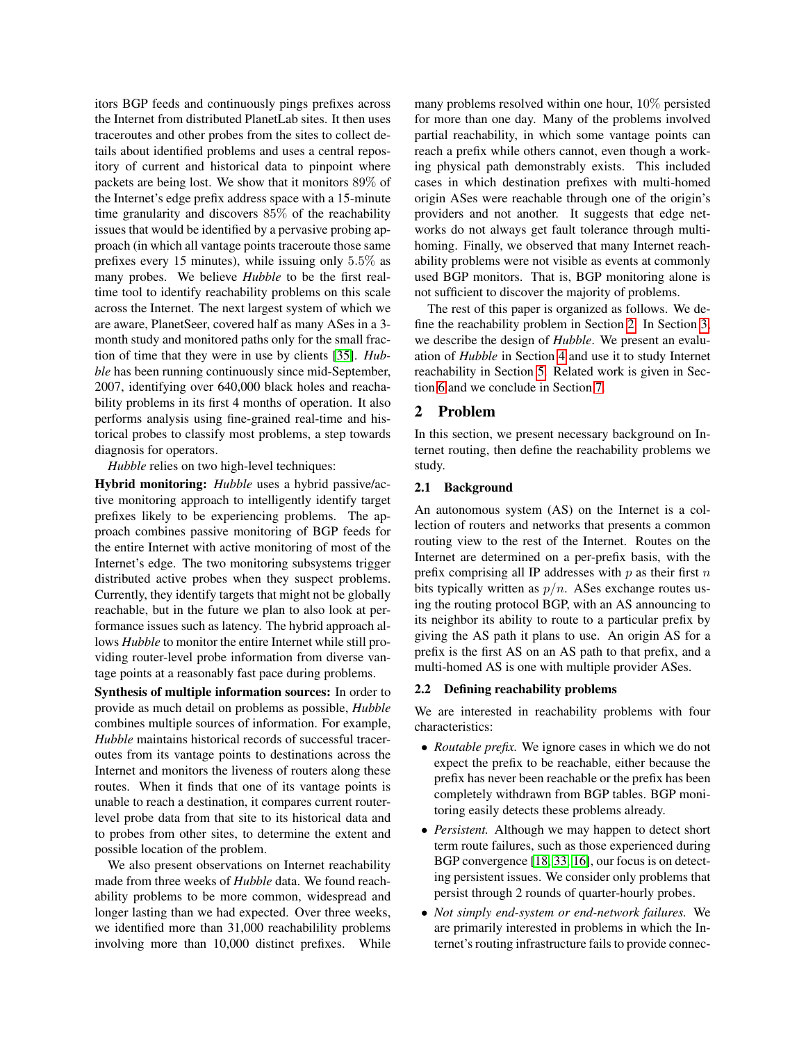itors BGP feeds and continuously pings prefixes across the Internet from distributed PlanetLab sites. It then uses traceroutes and other probes from the sites to collect details about identified problems and uses a central repository of current and historical data to pinpoint where packets are being lost. We show that it monitors 89% of the Internet's edge prefix address space with a 15-minute time granularity and discovers 85% of the reachability issues that would be identified by a pervasive probing approach (in which all vantage points traceroute those same prefixes every 15 minutes), while issuing only 5.5% as many probes. We believe *Hubble* to be the first realtime tool to identify reachability problems on this scale across the Internet. The next largest system of which we are aware, PlanetSeer, covered half as many ASes in a 3 month study and monitored paths only for the small fraction of time that they were in use by clients [\[35\]](#page-15-8). *Hubble* has been running continuously since mid-September, 2007, identifying over 640,000 black holes and reachability problems in its first 4 months of operation. It also performs analysis using fine-grained real-time and historical probes to classify most problems, a step towards diagnosis for operators.

*Hubble* relies on two high-level techniques:

Hybrid monitoring: *Hubble* uses a hybrid passive/active monitoring approach to intelligently identify target prefixes likely to be experiencing problems. The approach combines passive monitoring of BGP feeds for the entire Internet with active monitoring of most of the Internet's edge. The two monitoring subsystems trigger distributed active probes when they suspect problems. Currently, they identify targets that might not be globally reachable, but in the future we plan to also look at performance issues such as latency. The hybrid approach allows *Hubble* to monitor the entire Internet while still providing router-level probe information from diverse vantage points at a reasonably fast pace during problems.

Synthesis of multiple information sources: In order to provide as much detail on problems as possible, *Hubble* combines multiple sources of information. For example, *Hubble* maintains historical records of successful traceroutes from its vantage points to destinations across the Internet and monitors the liveness of routers along these routes. When it finds that one of its vantage points is unable to reach a destination, it compares current routerlevel probe data from that site to its historical data and to probes from other sites, to determine the extent and possible location of the problem.

We also present observations on Internet reachability made from three weeks of *Hubble* data. We found reachability problems to be more common, widespread and longer lasting than we had expected. Over three weeks, we identified more than 31,000 reachabilility problems involving more than 10,000 distinct prefixes. While

many problems resolved within one hour, 10% persisted for more than one day. Many of the problems involved partial reachability, in which some vantage points can reach a prefix while others cannot, even though a working physical path demonstrably exists. This included cases in which destination prefixes with multi-homed origin ASes were reachable through one of the origin's providers and not another. It suggests that edge networks do not always get fault tolerance through multihoming. Finally, we observed that many Internet reachability problems were not visible as events at commonly used BGP monitors. That is, BGP monitoring alone is not sufficient to discover the majority of problems.

The rest of this paper is organized as follows. We define the reachability problem in Section [2.](#page-1-0) In Section [3,](#page-2-0) we describe the design of *Hubble*. We present an evaluation of *Hubble* in Section [4](#page-7-0) and use it to study Internet reachability in Section [5.](#page-10-0) Related work is given in Section [6](#page-13-0) and we conclude in Section [7.](#page-14-3)

# <span id="page-1-0"></span>2 Problem

In this section, we present necessary background on Internet routing, then define the reachability problems we study.

### 2.1 Background

An autonomous system (AS) on the Internet is a collection of routers and networks that presents a common routing view to the rest of the Internet. Routes on the Internet are determined on a per-prefix basis, with the prefix comprising all IP addresses with  $p$  as their first  $n$ bits typically written as  $p/n$ . ASes exchange routes using the routing protocol BGP, with an AS announcing to its neighbor its ability to route to a particular prefix by giving the AS path it plans to use. An origin AS for a prefix is the first AS on an AS path to that prefix, and a multi-homed AS is one with multiple provider ASes.

#### <span id="page-1-1"></span>2.2 Defining reachability problems

We are interested in reachability problems with four characteristics:

- *Routable prefix.* We ignore cases in which we do not expect the prefix to be reachable, either because the prefix has never been reachable or the prefix has been completely withdrawn from BGP tables. BGP monitoring easily detects these problems already.
- *Persistent.* Although we may happen to detect short term route failures, such as those experienced during BGP convergence [\[18,](#page-15-11) [33,](#page-15-12) [16\]](#page-15-13), our focus is on detecting persistent issues. We consider only problems that persist through 2 rounds of quarter-hourly probes.
- *Not simply end-system or end-network failures.* We are primarily interested in problems in which the Internet's routing infrastructure fails to provide connec-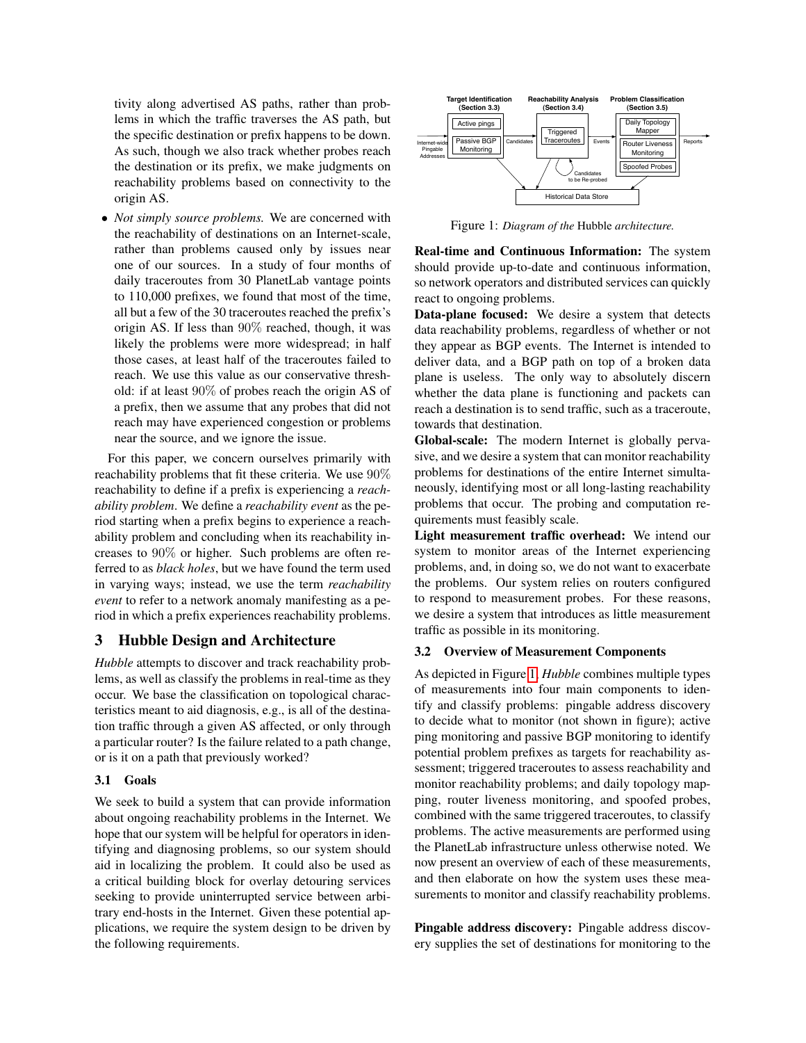tivity along advertised AS paths, rather than problems in which the traffic traverses the AS path, but the specific destination or prefix happens to be down. As such, though we also track whether probes reach the destination or its prefix, we make judgments on reachability problems based on connectivity to the origin AS.

• *Not simply source problems.* We are concerned with the reachability of destinations on an Internet-scale, rather than problems caused only by issues near one of our sources. In a study of four months of daily traceroutes from 30 PlanetLab vantage points to 110,000 prefixes, we found that most of the time, all but a few of the 30 traceroutes reached the prefix's origin AS. If less than 90% reached, though, it was likely the problems were more widespread; in half those cases, at least half of the traceroutes failed to reach. We use this value as our conservative threshold: if at least 90% of probes reach the origin AS of a prefix, then we assume that any probes that did not reach may have experienced congestion or problems near the source, and we ignore the issue.

For this paper, we concern ourselves primarily with reachability problems that fit these criteria. We use 90% reachability to define if a prefix is experiencing a *reachability problem*. We define a *reachability event* as the period starting when a prefix begins to experience a reachability problem and concluding when its reachability increases to 90% or higher. Such problems are often referred to as *black holes*, but we have found the term used in varying ways; instead, we use the term *reachability event* to refer to a network anomaly manifesting as a period in which a prefix experiences reachability problems.

# <span id="page-2-0"></span>3 Hubble Design and Architecture

*Hubble* attempts to discover and track reachability problems, as well as classify the problems in real-time as they occur. We base the classification on topological characteristics meant to aid diagnosis, e.g., is all of the destination traffic through a given AS affected, or only through a particular router? Is the failure related to a path change, or is it on a path that previously worked?

## 3.1 Goals

We seek to build a system that can provide information about ongoing reachability problems in the Internet. We hope that our system will be helpful for operators in identifying and diagnosing problems, so our system should aid in localizing the problem. It could also be used as a critical building block for overlay detouring services seeking to provide uninterrupted service between arbitrary end-hosts in the Internet. Given these potential applications, we require the system design to be driven by the following requirements.



<span id="page-2-1"></span>Figure 1: *Diagram of the* Hubble *architecture.*

Real-time and Continuous Information: The system should provide up-to-date and continuous information, so network operators and distributed services can quickly react to ongoing problems.

Data-plane focused: We desire a system that detects data reachability problems, regardless of whether or not they appear as BGP events. The Internet is intended to deliver data, and a BGP path on top of a broken data plane is useless. The only way to absolutely discern whether the data plane is functioning and packets can reach a destination is to send traffic, such as a traceroute, towards that destination.

Global-scale: The modern Internet is globally pervasive, and we desire a system that can monitor reachability problems for destinations of the entire Internet simultaneously, identifying most or all long-lasting reachability problems that occur. The probing and computation requirements must feasibly scale.

Light measurement traffic overhead: We intend our system to monitor areas of the Internet experiencing problems, and, in doing so, we do not want to exacerbate the problems. Our system relies on routers configured to respond to measurement probes. For these reasons, we desire a system that introduces as little measurement traffic as possible in its monitoring.

#### 3.2 Overview of Measurement Components

As depicted in Figure [1,](#page-2-1) *Hubble* combines multiple types of measurements into four main components to identify and classify problems: pingable address discovery to decide what to monitor (not shown in figure); active ping monitoring and passive BGP monitoring to identify potential problem prefixes as targets for reachability assessment; triggered traceroutes to assess reachability and monitor reachability problems; and daily topology mapping, router liveness monitoring, and spoofed probes, combined with the same triggered traceroutes, to classify problems. The active measurements are performed using the PlanetLab infrastructure unless otherwise noted. We now present an overview of each of these measurements, and then elaborate on how the system uses these measurements to monitor and classify reachability problems.

Pingable address discovery: Pingable address discovery supplies the set of destinations for monitoring to the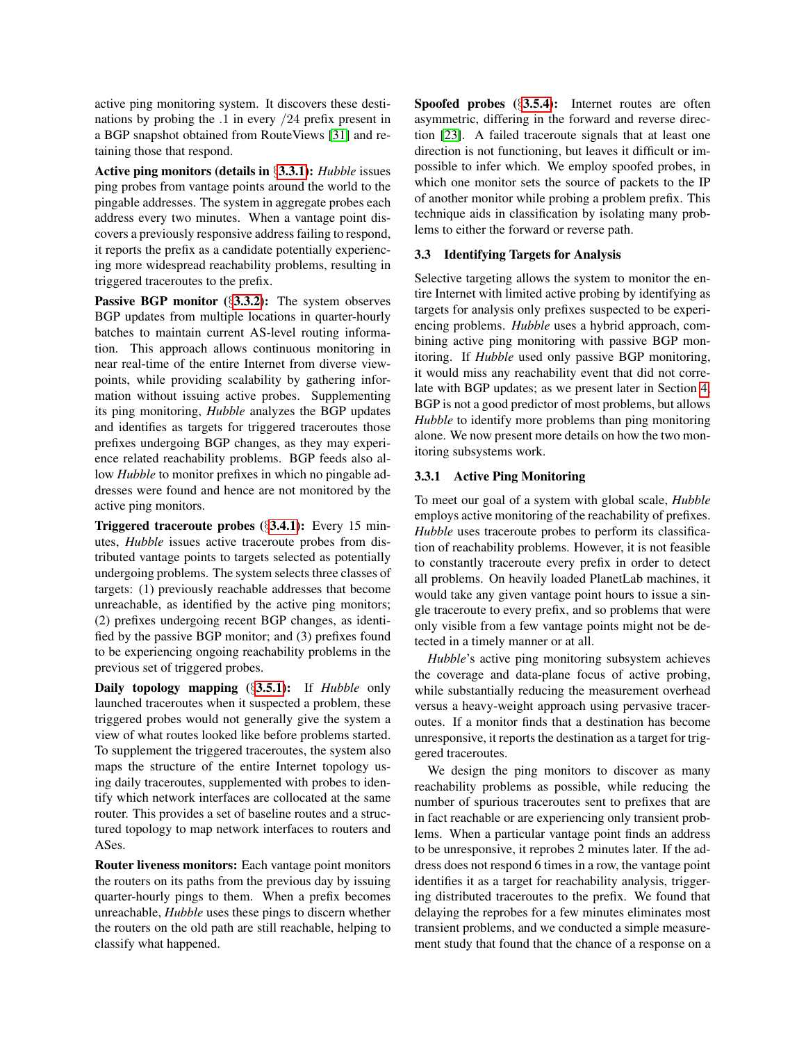active ping monitoring system. It discovers these destinations by probing the .1 in every /24 prefix present in a BGP snapshot obtained from RouteViews [\[31\]](#page-15-14) and retaining those that respond.

Active ping monitors (details in §[3.3.1\)](#page-3-0): *Hubble* issues ping probes from vantage points around the world to the pingable addresses. The system in aggregate probes each address every two minutes. When a vantage point discovers a previously responsive address failing to respond, it reports the prefix as a candidate potentially experiencing more widespread reachability problems, resulting in triggered traceroutes to the prefix.

Passive BGP monitor (§[3.3.2\)](#page-4-0): The system observes BGP updates from multiple locations in quarter-hourly batches to maintain current AS-level routing information. This approach allows continuous monitoring in near real-time of the entire Internet from diverse viewpoints, while providing scalability by gathering information without issuing active probes. Supplementing its ping monitoring, *Hubble* analyzes the BGP updates and identifies as targets for triggered traceroutes those prefixes undergoing BGP changes, as they may experience related reachability problems. BGP feeds also allow *Hubble* to monitor prefixes in which no pingable addresses were found and hence are not monitored by the active ping monitors.

Triggered traceroute probes (§[3.4.1\)](#page-4-1): Every 15 minutes, *Hubble* issues active traceroute probes from distributed vantage points to targets selected as potentially undergoing problems. The system selects three classes of targets: (1) previously reachable addresses that become unreachable, as identified by the active ping monitors; (2) prefixes undergoing recent BGP changes, as identified by the passive BGP monitor; and (3) prefixes found to be experiencing ongoing reachability problems in the previous set of triggered probes.

Daily topology mapping (§[3.5.1\)](#page-5-0): If *Hubble* only launched traceroutes when it suspected a problem, these triggered probes would not generally give the system a view of what routes looked like before problems started. To supplement the triggered traceroutes, the system also maps the structure of the entire Internet topology using daily traceroutes, supplemented with probes to identify which network interfaces are collocated at the same router. This provides a set of baseline routes and a structured topology to map network interfaces to routers and ASes.

Router liveness monitors: Each vantage point monitors the routers on its paths from the previous day by issuing quarter-hourly pings to them. When a prefix becomes unreachable, *Hubble* uses these pings to discern whether the routers on the old path are still reachable, helping to classify what happened.

Spoofed probes (§[3.5.4\)](#page-6-0): Internet routes are often asymmetric, differing in the forward and reverse direction [\[23\]](#page-15-3). A failed traceroute signals that at least one direction is not functioning, but leaves it difficult or impossible to infer which. We employ spoofed probes, in which one monitor sets the source of packets to the IP of another monitor while probing a problem prefix. This technique aids in classification by isolating many problems to either the forward or reverse path.

### 3.3 Identifying Targets for Analysis

Selective targeting allows the system to monitor the entire Internet with limited active probing by identifying as targets for analysis only prefixes suspected to be experiencing problems. *Hubble* uses a hybrid approach, combining active ping monitoring with passive BGP monitoring. If *Hubble* used only passive BGP monitoring, it would miss any reachability event that did not correlate with BGP updates; as we present later in Section [4,](#page-7-0) BGP is not a good predictor of most problems, but allows *Hubble* to identify more problems than ping monitoring alone. We now present more details on how the two monitoring subsystems work.

# <span id="page-3-0"></span>3.3.1 Active Ping Monitoring

To meet our goal of a system with global scale, *Hubble* employs active monitoring of the reachability of prefixes. *Hubble* uses traceroute probes to perform its classification of reachability problems. However, it is not feasible to constantly traceroute every prefix in order to detect all problems. On heavily loaded PlanetLab machines, it would take any given vantage point hours to issue a single traceroute to every prefix, and so problems that were only visible from a few vantage points might not be detected in a timely manner or at all.

*Hubble*'s active ping monitoring subsystem achieves the coverage and data-plane focus of active probing, while substantially reducing the measurement overhead versus a heavy-weight approach using pervasive traceroutes. If a monitor finds that a destination has become unresponsive, it reports the destination as a target for triggered traceroutes.

We design the ping monitors to discover as many reachability problems as possible, while reducing the number of spurious traceroutes sent to prefixes that are in fact reachable or are experiencing only transient problems. When a particular vantage point finds an address to be unresponsive, it reprobes 2 minutes later. If the address does not respond 6 times in a row, the vantage point identifies it as a target for reachability analysis, triggering distributed traceroutes to the prefix. We found that delaying the reprobes for a few minutes eliminates most transient problems, and we conducted a simple measurement study that found that the chance of a response on a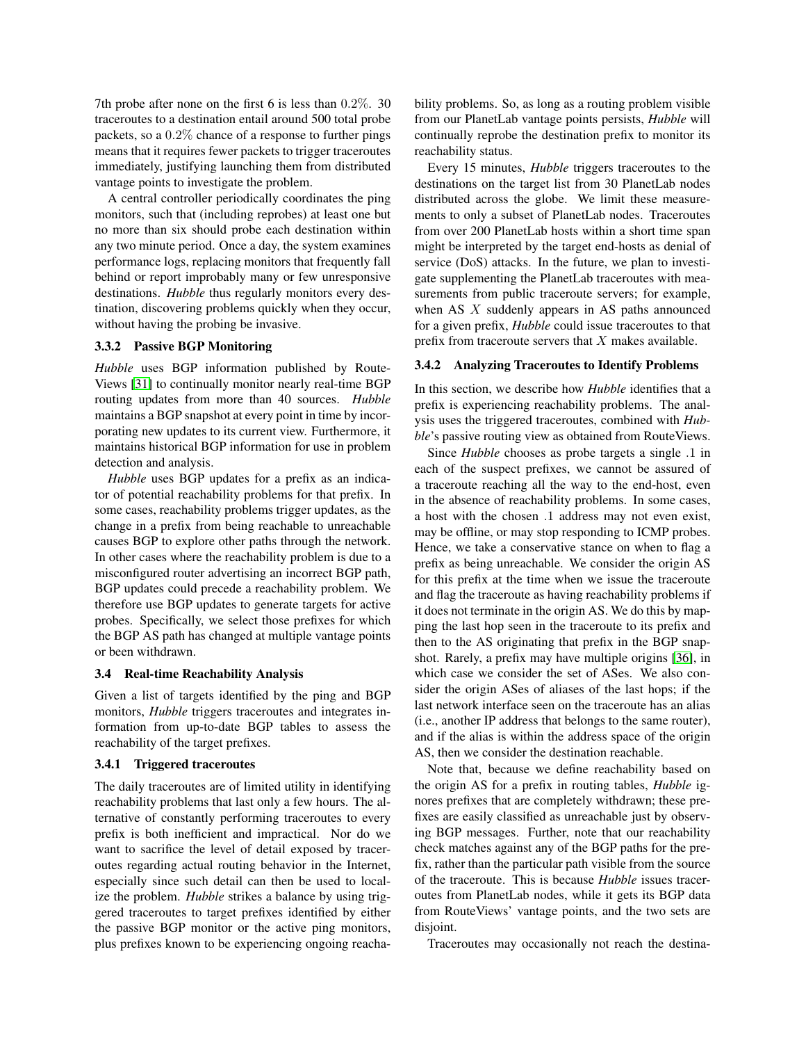7th probe after none on the first 6 is less than 0.2%. 30 traceroutes to a destination entail around 500 total probe packets, so a 0.2% chance of a response to further pings means that it requires fewer packets to trigger traceroutes immediately, justifying launching them from distributed vantage points to investigate the problem.

A central controller periodically coordinates the ping monitors, such that (including reprobes) at least one but no more than six should probe each destination within any two minute period. Once a day, the system examines performance logs, replacing monitors that frequently fall behind or report improbably many or few unresponsive destinations. *Hubble* thus regularly monitors every destination, discovering problems quickly when they occur, without having the probing be invasive.

## <span id="page-4-0"></span>3.3.2 Passive BGP Monitoring

*Hubble* uses BGP information published by Route-Views [\[31\]](#page-15-14) to continually monitor nearly real-time BGP routing updates from more than 40 sources. *Hubble* maintains a BGP snapshot at every point in time by incorporating new updates to its current view. Furthermore, it maintains historical BGP information for use in problem detection and analysis.

*Hubble* uses BGP updates for a prefix as an indicator of potential reachability problems for that prefix. In some cases, reachability problems trigger updates, as the change in a prefix from being reachable to unreachable causes BGP to explore other paths through the network. In other cases where the reachability problem is due to a misconfigured router advertising an incorrect BGP path, BGP updates could precede a reachability problem. We therefore use BGP updates to generate targets for active probes. Specifically, we select those prefixes for which the BGP AS path has changed at multiple vantage points or been withdrawn.

#### <span id="page-4-3"></span>3.4 Real-time Reachability Analysis

Given a list of targets identified by the ping and BGP monitors, *Hubble* triggers traceroutes and integrates information from up-to-date BGP tables to assess the reachability of the target prefixes.

#### <span id="page-4-1"></span>3.4.1 Triggered traceroutes

The daily traceroutes are of limited utility in identifying reachability problems that last only a few hours. The alternative of constantly performing traceroutes to every prefix is both inefficient and impractical. Nor do we want to sacrifice the level of detail exposed by traceroutes regarding actual routing behavior in the Internet, especially since such detail can then be used to localize the problem. *Hubble* strikes a balance by using triggered traceroutes to target prefixes identified by either the passive BGP monitor or the active ping monitors, plus prefixes known to be experiencing ongoing reachability problems. So, as long as a routing problem visible from our PlanetLab vantage points persists, *Hubble* will continually reprobe the destination prefix to monitor its reachability status.

Every 15 minutes, *Hubble* triggers traceroutes to the destinations on the target list from 30 PlanetLab nodes distributed across the globe. We limit these measurements to only a subset of PlanetLab nodes. Traceroutes from over 200 PlanetLab hosts within a short time span might be interpreted by the target end-hosts as denial of service (DoS) attacks. In the future, we plan to investigate supplementing the PlanetLab traceroutes with measurements from public traceroute servers; for example, when AS  $X$  suddenly appears in AS paths announced for a given prefix, *Hubble* could issue traceroutes to that prefix from traceroute servers that  $X$  makes available.

#### <span id="page-4-2"></span>3.4.2 Analyzing Traceroutes to Identify Problems

In this section, we describe how *Hubble* identifies that a prefix is experiencing reachability problems. The analysis uses the triggered traceroutes, combined with *Hubble*'s passive routing view as obtained from RouteViews.

Since *Hubble* chooses as probe targets a single .1 in each of the suspect prefixes, we cannot be assured of a traceroute reaching all the way to the end-host, even in the absence of reachability problems. In some cases, a host with the chosen .1 address may not even exist, may be offline, or may stop responding to ICMP probes. Hence, we take a conservative stance on when to flag a prefix as being unreachable. We consider the origin AS for this prefix at the time when we issue the traceroute and flag the traceroute as having reachability problems if it does not terminate in the origin AS. We do this by mapping the last hop seen in the traceroute to its prefix and then to the AS originating that prefix in the BGP snapshot. Rarely, a prefix may have multiple origins [\[36\]](#page-15-15), in which case we consider the set of ASes. We also consider the origin ASes of aliases of the last hops; if the last network interface seen on the traceroute has an alias (i.e., another IP address that belongs to the same router), and if the alias is within the address space of the origin AS, then we consider the destination reachable.

Note that, because we define reachability based on the origin AS for a prefix in routing tables, *Hubble* ignores prefixes that are completely withdrawn; these prefixes are easily classified as unreachable just by observing BGP messages. Further, note that our reachability check matches against any of the BGP paths for the prefix, rather than the particular path visible from the source of the traceroute. This is because *Hubble* issues traceroutes from PlanetLab nodes, while it gets its BGP data from RouteViews' vantage points, and the two sets are disjoint.

Traceroutes may occasionally not reach the destina-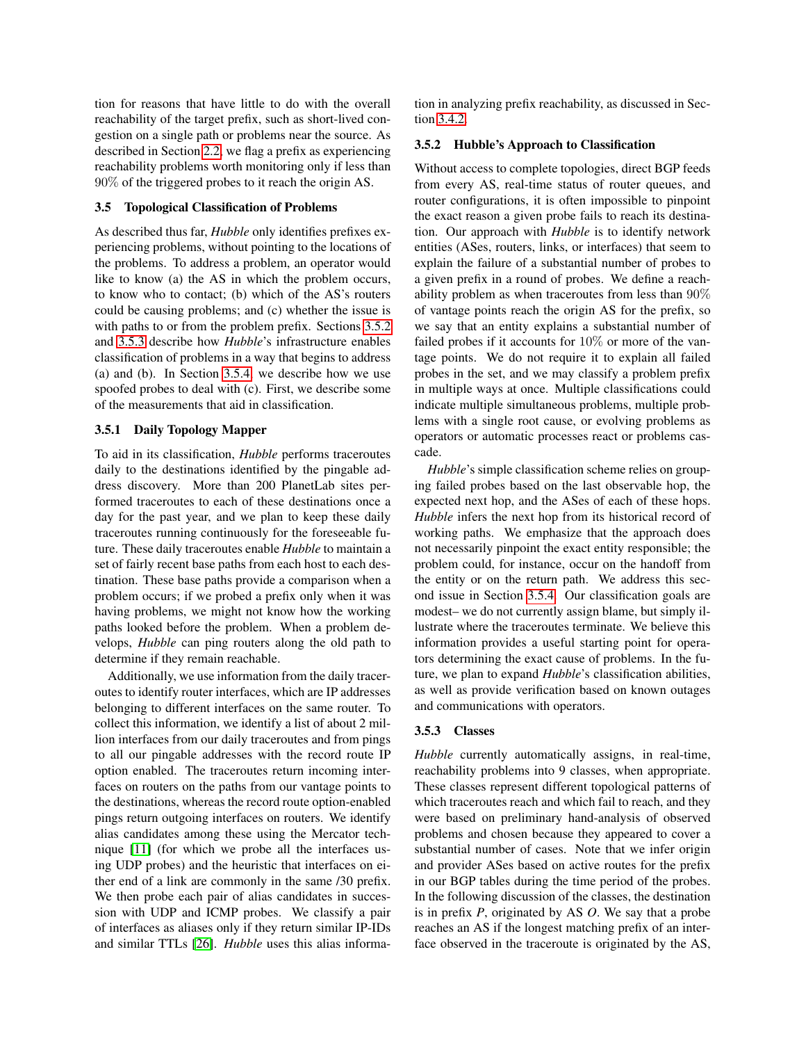tion for reasons that have little to do with the overall reachability of the target prefix, such as short-lived congestion on a single path or problems near the source. As described in Section [2.2,](#page-1-1) we flag a prefix as experiencing reachability problems worth monitoring only if less than 90% of the triggered probes to it reach the origin AS.

#### <span id="page-5-3"></span>3.5 Topological Classification of Problems

As described thus far, *Hubble* only identifies prefixes experiencing problems, without pointing to the locations of the problems. To address a problem, an operator would like to know (a) the AS in which the problem occurs, to know who to contact; (b) which of the AS's routers could be causing problems; and (c) whether the issue is with paths to or from the problem prefix. Sections [3.5.2](#page-5-1) and [3.5.3](#page-5-2) describe how *Hubble*'s infrastructure enables classification of problems in a way that begins to address (a) and (b). In Section [3.5.4,](#page-6-0) we describe how we use spoofed probes to deal with (c). First, we describe some of the measurements that aid in classification.

#### <span id="page-5-0"></span>3.5.1 Daily Topology Mapper

To aid in its classification, *Hubble* performs traceroutes daily to the destinations identified by the pingable address discovery. More than 200 PlanetLab sites performed traceroutes to each of these destinations once a day for the past year, and we plan to keep these daily traceroutes running continuously for the foreseeable future. These daily traceroutes enable *Hubble* to maintain a set of fairly recent base paths from each host to each destination. These base paths provide a comparison when a problem occurs; if we probed a prefix only when it was having problems, we might not know how the working paths looked before the problem. When a problem develops, *Hubble* can ping routers along the old path to determine if they remain reachable.

Additionally, we use information from the daily traceroutes to identify router interfaces, which are IP addresses belonging to different interfaces on the same router. To collect this information, we identify a list of about 2 million interfaces from our daily traceroutes and from pings to all our pingable addresses with the record route IP option enabled. The traceroutes return incoming interfaces on routers on the paths from our vantage points to the destinations, whereas the record route option-enabled pings return outgoing interfaces on routers. We identify alias candidates among these using the Mercator technique [\[11\]](#page-15-16) (for which we probe all the interfaces using UDP probes) and the heuristic that interfaces on either end of a link are commonly in the same /30 prefix. We then probe each pair of alias candidates in succession with UDP and ICMP probes. We classify a pair of interfaces as aliases only if they return similar IP-IDs and similar TTLs [\[26\]](#page-15-17). *Hubble* uses this alias information in analyzing prefix reachability, as discussed in Section [3.4.2.](#page-4-2)

#### <span id="page-5-1"></span>3.5.2 Hubble's Approach to Classification

Without access to complete topologies, direct BGP feeds from every AS, real-time status of router queues, and router configurations, it is often impossible to pinpoint the exact reason a given probe fails to reach its destination. Our approach with *Hubble* is to identify network entities (ASes, routers, links, or interfaces) that seem to explain the failure of a substantial number of probes to a given prefix in a round of probes. We define a reachability problem as when traceroutes from less than 90% of vantage points reach the origin AS for the prefix, so we say that an entity explains a substantial number of failed probes if it accounts for 10% or more of the vantage points. We do not require it to explain all failed probes in the set, and we may classify a problem prefix in multiple ways at once. Multiple classifications could indicate multiple simultaneous problems, multiple problems with a single root cause, or evolving problems as operators or automatic processes react or problems cascade.

*Hubble*'s simple classification scheme relies on grouping failed probes based on the last observable hop, the expected next hop, and the ASes of each of these hops. *Hubble* infers the next hop from its historical record of working paths. We emphasize that the approach does not necessarily pinpoint the exact entity responsible; the problem could, for instance, occur on the handoff from the entity or on the return path. We address this second issue in Section [3.5.4.](#page-6-0) Our classification goals are modest– we do not currently assign blame, but simply illustrate where the traceroutes terminate. We believe this information provides a useful starting point for operators determining the exact cause of problems. In the future, we plan to expand *Hubble*'s classification abilities, as well as provide verification based on known outages and communications with operators.

#### <span id="page-5-2"></span>3.5.3 Classes

*Hubble* currently automatically assigns, in real-time, reachability problems into 9 classes, when appropriate. These classes represent different topological patterns of which traceroutes reach and which fail to reach, and they were based on preliminary hand-analysis of observed problems and chosen because they appeared to cover a substantial number of cases. Note that we infer origin and provider ASes based on active routes for the prefix in our BGP tables during the time period of the probes. In the following discussion of the classes, the destination is in prefix *P*, originated by AS *O*. We say that a probe reaches an AS if the longest matching prefix of an interface observed in the traceroute is originated by the AS,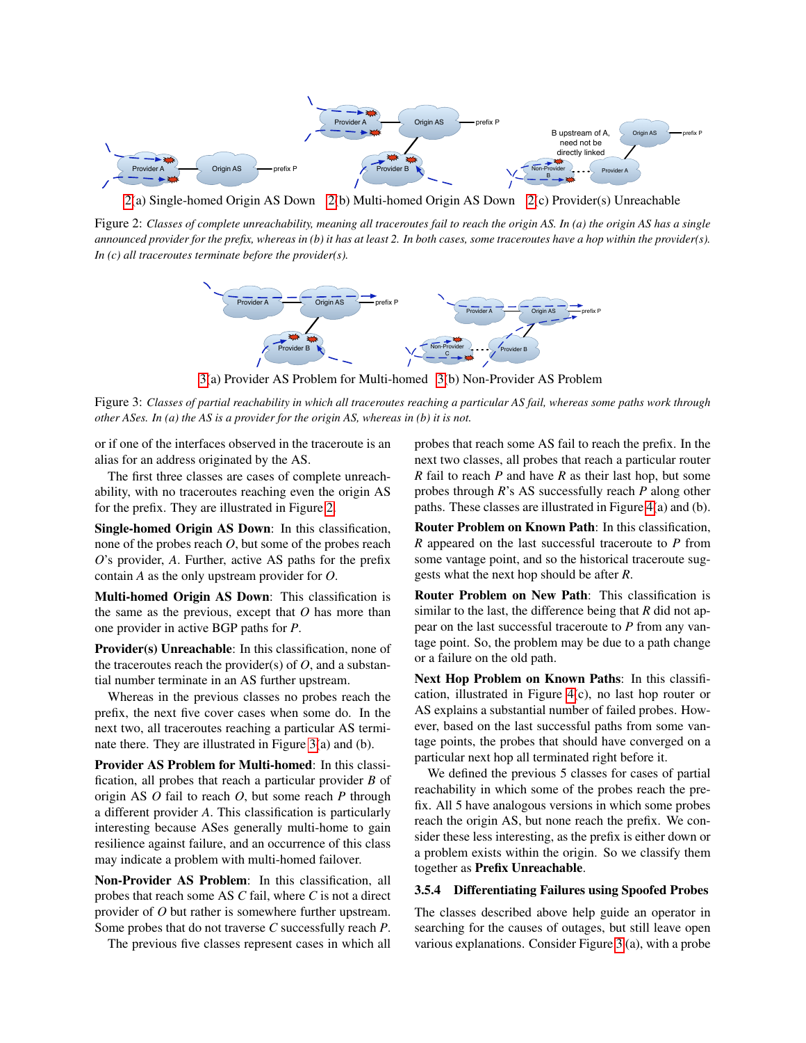

<span id="page-6-1"></span>[2\(](#page-6-1)a) Single-homed Origin AS Down [2\(](#page-6-1)b) Multi-homed Origin AS Down [2\(](#page-6-1)c) Provider(s) Unreachable

Figure 2: *Classes of complete unreachability, meaning all traceroutes fail to reach the origin AS. In (a) the origin AS has a single announced provider for the prefix, whereas in (b) it has at least 2. In both cases, some traceroutes have a hop within the provider(s). In (c) all traceroutes terminate before the provider(s).*



[3\(](#page-6-2)a) Provider AS Problem for Multi-homed [3\(](#page-6-2)b) Non-Provider AS Problem

<span id="page-6-2"></span>Figure 3: *Classes of partial reachability in which all traceroutes reaching a particular AS fail, whereas some paths work through other ASes. In (a) the AS is a provider for the origin AS, whereas in (b) it is not.*

or if one of the interfaces observed in the traceroute is an alias for an address originated by the AS.

The first three classes are cases of complete unreachability, with no traceroutes reaching even the origin AS for the prefix. They are illustrated in Figure [2.](#page-6-1)

Single-homed Origin AS Down: In this classification, none of the probes reach *O*, but some of the probes reach *O*'s provider, *A*. Further, active AS paths for the prefix contain *A* as the only upstream provider for *O*.

Multi-homed Origin AS Down: This classification is the same as the previous, except that *O* has more than one provider in active BGP paths for *P*.

Provider(s) Unreachable: In this classification, none of the traceroutes reach the provider(s) of  $O$ , and a substantial number terminate in an AS further upstream.

Whereas in the previous classes no probes reach the prefix, the next five cover cases when some do. In the next two, all traceroutes reaching a particular AS terminate there. They are illustrated in Figure [3\(](#page-6-2)a) and (b).

Provider AS Problem for Multi-homed: In this classification, all probes that reach a particular provider *B* of origin AS *O* fail to reach *O*, but some reach *P* through a different provider *A*. This classification is particularly interesting because ASes generally multi-home to gain resilience against failure, and an occurrence of this class may indicate a problem with multi-homed failover.

Non-Provider AS Problem: In this classification, all probes that reach some AS *C* fail, where *C* is not a direct provider of *O* but rather is somewhere further upstream. Some probes that do not traverse *C* successfully reach *P*.

The previous five classes represent cases in which all

probes that reach some AS fail to reach the prefix. In the next two classes, all probes that reach a particular router *R* fail to reach *P* and have *R* as their last hop, but some probes through *R*'s AS successfully reach *P* along other paths. These classes are illustrated in Figure [4\(](#page-7-1)a) and (b).

Router Problem on Known Path: In this classification, *R* appeared on the last successful traceroute to *P* from some vantage point, and so the historical traceroute suggests what the next hop should be after *R*.

Router Problem on New Path: This classification is similar to the last, the difference being that *R* did not appear on the last successful traceroute to *P* from any vantage point. So, the problem may be due to a path change or a failure on the old path.

Next Hop Problem on Known Paths: In this classification, illustrated in Figure [4\(](#page-7-1)c), no last hop router or AS explains a substantial number of failed probes. However, based on the last successful paths from some vantage points, the probes that should have converged on a particular next hop all terminated right before it.

We defined the previous 5 classes for cases of partial reachability in which some of the probes reach the prefix. All 5 have analogous versions in which some probes reach the origin AS, but none reach the prefix. We consider these less interesting, as the prefix is either down or a problem exists within the origin. So we classify them together as Prefix Unreachable.

## <span id="page-6-0"></span>3.5.4 Differentiating Failures using Spoofed Probes

The classes described above help guide an operator in searching for the causes of outages, but still leave open various explanations. Consider Figure [3](#page-6-2) (a), with a probe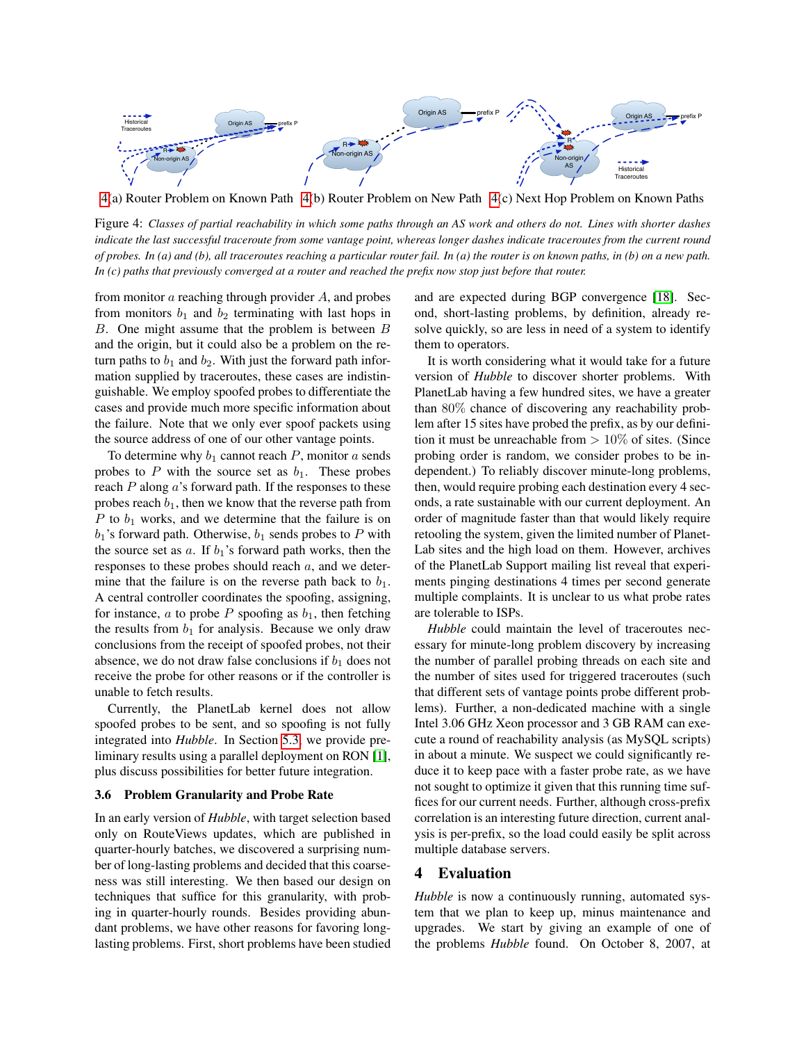

<span id="page-7-1"></span>[4\(](#page-7-1)a) Router Problem on Known Path [4\(](#page-7-1)b) Router Problem on New Path [4\(](#page-7-1)c) Next Hop Problem on Known Paths

Figure 4: *Classes of partial reachability in which some paths through an AS work and others do not. Lines with shorter dashes indicate the last successful traceroute from some vantage point, whereas longer dashes indicate traceroutes from the current round of probes. In (a) and (b), all traceroutes reaching a particular router fail. In (a) the router is on known paths, in (b) on a new path. In (c) paths that previously converged at a router and reached the prefix now stop just before that router.*

from monitor  $\alpha$  reaching through provider  $A$ , and probes from monitors  $b_1$  and  $b_2$  terminating with last hops in  $B$ . One might assume that the problem is between  $B$ and the origin, but it could also be a problem on the return paths to  $b_1$  and  $b_2$ . With just the forward path information supplied by traceroutes, these cases are indistinguishable. We employ spoofed probes to differentiate the cases and provide much more specific information about the failure. Note that we only ever spoof packets using the source address of one of our other vantage points.

To determine why  $b_1$  cannot reach  $P$ , monitor  $a$  sends probes to  $P$  with the source set as  $b_1$ . These probes reach  $P$  along  $a$ 's forward path. If the responses to these probes reach  $b_1$ , then we know that the reverse path from  $P$  to  $b_1$  works, and we determine that the failure is on  $b_1$ 's forward path. Otherwise,  $b_1$  sends probes to P with the source set as  $a$ . If  $b_1$ 's forward path works, then the responses to these probes should reach a, and we determine that the failure is on the reverse path back to  $b_1$ . A central controller coordinates the spoofing, assigning, for instance,  $a$  to probe  $P$  spoofing as  $b_1$ , then fetching the results from  $b_1$  for analysis. Because we only draw conclusions from the receipt of spoofed probes, not their absence, we do not draw false conclusions if  $b_1$  does not receive the probe for other reasons or if the controller is unable to fetch results.

Currently, the PlanetLab kernel does not allow spoofed probes to be sent, and so spoofing is not fully integrated into *Hubble*. In Section [5.3,](#page-12-0) we provide preliminary results using a parallel deployment on RON [\[1\]](#page-14-1), plus discuss possibilities for better future integration.

## 3.6 Problem Granularity and Probe Rate

In an early version of *Hubble*, with target selection based only on RouteViews updates, which are published in quarter-hourly batches, we discovered a surprising number of long-lasting problems and decided that this coarseness was still interesting. We then based our design on techniques that suffice for this granularity, with probing in quarter-hourly rounds. Besides providing abundant problems, we have other reasons for favoring longlasting problems. First, short problems have been studied and are expected during BGP convergence [\[18\]](#page-15-11). Second, short-lasting problems, by definition, already resolve quickly, so are less in need of a system to identify them to operators.

It is worth considering what it would take for a future version of *Hubble* to discover shorter problems. With PlanetLab having a few hundred sites, we have a greater than 80% chance of discovering any reachability problem after 15 sites have probed the prefix, as by our definition it must be unreachable from  $> 10\%$  of sites. (Since probing order is random, we consider probes to be independent.) To reliably discover minute-long problems, then, would require probing each destination every 4 seconds, a rate sustainable with our current deployment. An order of magnitude faster than that would likely require retooling the system, given the limited number of Planet-Lab sites and the high load on them. However, archives of the PlanetLab Support mailing list reveal that experiments pinging destinations 4 times per second generate multiple complaints. It is unclear to us what probe rates are tolerable to ISPs.

*Hubble* could maintain the level of traceroutes necessary for minute-long problem discovery by increasing the number of parallel probing threads on each site and the number of sites used for triggered traceroutes (such that different sets of vantage points probe different problems). Further, a non-dedicated machine with a single Intel 3.06 GHz Xeon processor and 3 GB RAM can execute a round of reachability analysis (as MySQL scripts) in about a minute. We suspect we could significantly reduce it to keep pace with a faster probe rate, as we have not sought to optimize it given that this running time suffices for our current needs. Further, although cross-prefix correlation is an interesting future direction, current analysis is per-prefix, so the load could easily be split across multiple database servers.

## <span id="page-7-0"></span>4 Evaluation

*Hubble* is now a continuously running, automated system that we plan to keep up, minus maintenance and upgrades. We start by giving an example of one of the problems *Hubble* found. On October 8, 2007, at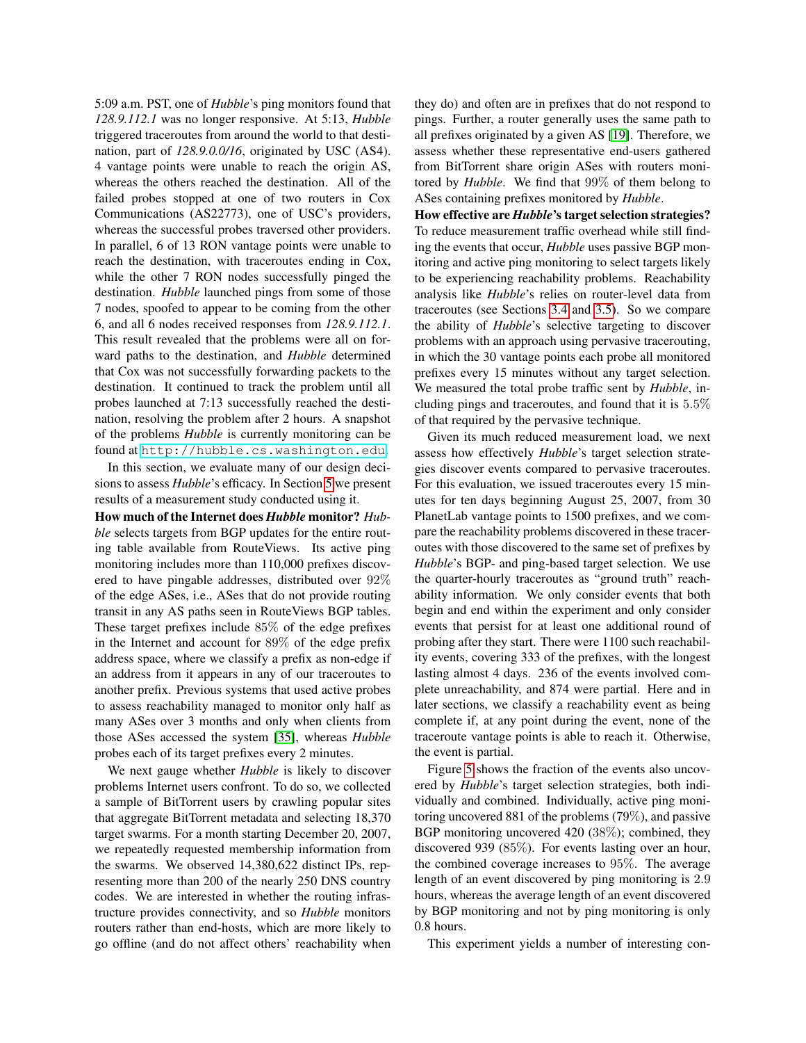5:09 a.m. PST, one of *Hubble*'s ping monitors found that *128.9.112.1* was no longer responsive. At 5:13, *Hubble* triggered traceroutes from around the world to that destination, part of *128.9.0.0/16*, originated by USC (AS4). 4 vantage points were unable to reach the origin AS, whereas the others reached the destination. All of the failed probes stopped at one of two routers in Cox Communications (AS22773), one of USC's providers, whereas the successful probes traversed other providers. In parallel, 6 of 13 RON vantage points were unable to reach the destination, with traceroutes ending in Cox, while the other 7 RON nodes successfully pinged the destination. *Hubble* launched pings from some of those 7 nodes, spoofed to appear to be coming from the other 6, and all 6 nodes received responses from *128.9.112.1*. This result revealed that the problems were all on forward paths to the destination, and *Hubble* determined that Cox was not successfully forwarding packets to the destination. It continued to track the problem until all probes launched at 7:13 successfully reached the destination, resolving the problem after 2 hours. A snapshot of the problems *Hubble* is currently monitoring can be found at <http://hubble.cs.washington.edu>.

In this section, we evaluate many of our design decisions to assess *Hubble*'s efficacy. In Section [5](#page-10-0) we present results of a measurement study conducted using it.

How much of the Internet does *Hubble* monitor? *Hubble* selects targets from BGP updates for the entire routing table available from RouteViews. Its active ping monitoring includes more than 110,000 prefixes discovered to have pingable addresses, distributed over 92% of the edge ASes, i.e., ASes that do not provide routing transit in any AS paths seen in RouteViews BGP tables. These target prefixes include 85% of the edge prefixes in the Internet and account for 89% of the edge prefix address space, where we classify a prefix as non-edge if an address from it appears in any of our traceroutes to another prefix. Previous systems that used active probes to assess reachability managed to monitor only half as many ASes over 3 months and only when clients from those ASes accessed the system [\[35\]](#page-15-8), whereas *Hubble* probes each of its target prefixes every 2 minutes.

We next gauge whether *Hubble* is likely to discover problems Internet users confront. To do so, we collected a sample of BitTorrent users by crawling popular sites that aggregate BitTorrent metadata and selecting 18,370 target swarms. For a month starting December 20, 2007, we repeatedly requested membership information from the swarms. We observed 14,380,622 distinct IPs, representing more than 200 of the nearly 250 DNS country codes. We are interested in whether the routing infrastructure provides connectivity, and so *Hubble* monitors routers rather than end-hosts, which are more likely to go offline (and do not affect others' reachability when they do) and often are in prefixes that do not respond to pings. Further, a router generally uses the same path to all prefixes originated by a given AS [\[19\]](#page-15-18). Therefore, we assess whether these representative end-users gathered from BitTorrent share origin ASes with routers monitored by *Hubble*. We find that 99% of them belong to ASes containing prefixes monitored by *Hubble*.

How effective are *Hubble*'s target selection strategies? To reduce measurement traffic overhead while still finding the events that occur, *Hubble* uses passive BGP monitoring and active ping monitoring to select targets likely to be experiencing reachability problems. Reachability analysis like *Hubble*'s relies on router-level data from traceroutes (see Sections [3.4](#page-4-3) and [3.5\)](#page-5-3). So we compare the ability of *Hubble*'s selective targeting to discover problems with an approach using pervasive tracerouting, in which the 30 vantage points each probe all monitored prefixes every 15 minutes without any target selection. We measured the total probe traffic sent by *Hubble*, including pings and traceroutes, and found that it is 5.5% of that required by the pervasive technique.

Given its much reduced measurement load, we next assess how effectively *Hubble*'s target selection strategies discover events compared to pervasive traceroutes. For this evaluation, we issued traceroutes every 15 minutes for ten days beginning August 25, 2007, from 30 PlanetLab vantage points to 1500 prefixes, and we compare the reachability problems discovered in these traceroutes with those discovered to the same set of prefixes by *Hubble*'s BGP- and ping-based target selection. We use the quarter-hourly traceroutes as "ground truth" reachability information. We only consider events that both begin and end within the experiment and only consider events that persist for at least one additional round of probing after they start. There were 1100 such reachability events, covering 333 of the prefixes, with the longest lasting almost 4 days. 236 of the events involved complete unreachability, and 874 were partial. Here and in later sections, we classify a reachability event as being complete if, at any point during the event, none of the traceroute vantage points is able to reach it. Otherwise, the event is partial.

Figure [5](#page-9-0) shows the fraction of the events also uncovered by *Hubble*'s target selection strategies, both individually and combined. Individually, active ping monitoring uncovered 881 of the problems (79%), and passive BGP monitoring uncovered 420 (38%); combined, they discovered 939 (85%). For events lasting over an hour, the combined coverage increases to 95%. The average length of an event discovered by ping monitoring is 2.9 hours, whereas the average length of an event discovered by BGP monitoring and not by ping monitoring is only 0.8 hours.

This experiment yields a number of interesting con-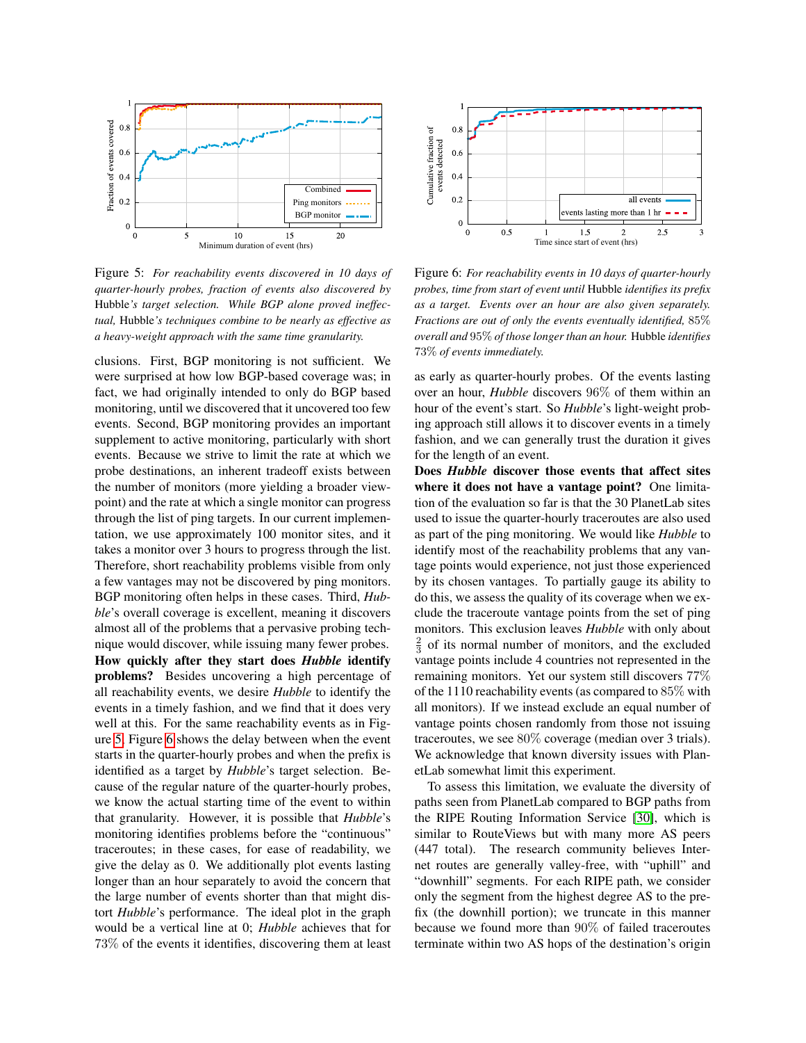

<span id="page-9-0"></span>Figure 5: *For reachability events discovered in 10 days of quarter-hourly probes, fraction of events also discovered by* Hubble*'s target selection. While BGP alone proved ineffectual,* Hubble*'s techniques combine to be nearly as effective as a heavy-weight approach with the same time granularity.*

clusions. First, BGP monitoring is not sufficient. We were surprised at how low BGP-based coverage was; in fact, we had originally intended to only do BGP based monitoring, until we discovered that it uncovered too few events. Second, BGP monitoring provides an important supplement to active monitoring, particularly with short events. Because we strive to limit the rate at which we probe destinations, an inherent tradeoff exists between the number of monitors (more yielding a broader viewpoint) and the rate at which a single monitor can progress through the list of ping targets. In our current implementation, we use approximately 100 monitor sites, and it takes a monitor over 3 hours to progress through the list. Therefore, short reachability problems visible from only a few vantages may not be discovered by ping monitors. BGP monitoring often helps in these cases. Third, *Hubble*'s overall coverage is excellent, meaning it discovers almost all of the problems that a pervasive probing technique would discover, while issuing many fewer probes. How quickly after they start does *Hubble* identify problems? Besides uncovering a high percentage of all reachability events, we desire *Hubble* to identify the events in a timely fashion, and we find that it does very well at this. For the same reachability events as in Figure [5,](#page-9-0) Figure [6](#page-9-1) shows the delay between when the event starts in the quarter-hourly probes and when the prefix is identified as a target by *Hubble*'s target selection. Because of the regular nature of the quarter-hourly probes, we know the actual starting time of the event to within that granularity. However, it is possible that *Hubble*'s monitoring identifies problems before the "continuous" traceroutes; in these cases, for ease of readability, we give the delay as 0. We additionally plot events lasting longer than an hour separately to avoid the concern that the large number of events shorter than that might distort *Hubble*'s performance. The ideal plot in the graph would be a vertical line at 0; *Hubble* achieves that for 73% of the events it identifies, discovering them at least



<span id="page-9-1"></span>Figure 6: *For reachability events in 10 days of quarter-hourly probes, time from start of event until* Hubble *identifies its prefix as a target. Events over an hour are also given separately. Fractions are out of only the events eventually identified,* 85% *overall and* 95% *of those longer than an hour.* Hubble *identifies* 73% *of events immediately.*

as early as quarter-hourly probes. Of the events lasting over an hour, *Hubble* discovers 96% of them within an hour of the event's start. So *Hubble*'s light-weight probing approach still allows it to discover events in a timely fashion, and we can generally trust the duration it gives for the length of an event.

Does *Hubble* discover those events that affect sites where it does not have a vantage point? One limitation of the evaluation so far is that the 30 PlanetLab sites used to issue the quarter-hourly traceroutes are also used as part of the ping monitoring. We would like *Hubble* to identify most of the reachability problems that any vantage points would experience, not just those experienced by its chosen vantages. To partially gauge its ability to do this, we assess the quality of its coverage when we exclude the traceroute vantage points from the set of ping monitors. This exclusion leaves *Hubble* with only about  $\frac{2}{3}$  of its normal number of monitors, and the excluded vantage points include 4 countries not represented in the remaining monitors. Yet our system still discovers 77% of the 1110 reachability events (as compared to 85% with all monitors). If we instead exclude an equal number of vantage points chosen randomly from those not issuing traceroutes, we see 80% coverage (median over 3 trials). We acknowledge that known diversity issues with PlanetLab somewhat limit this experiment.

To assess this limitation, we evaluate the diversity of paths seen from PlanetLab compared to BGP paths from the RIPE Routing Information Service [\[30\]](#page-15-19), which is similar to RouteViews but with many more AS peers (447 total). The research community believes Internet routes are generally valley-free, with "uphill" and "downhill" segments. For each RIPE path, we consider only the segment from the highest degree AS to the prefix (the downhill portion); we truncate in this manner because we found more than 90% of failed traceroutes terminate within two AS hops of the destination's origin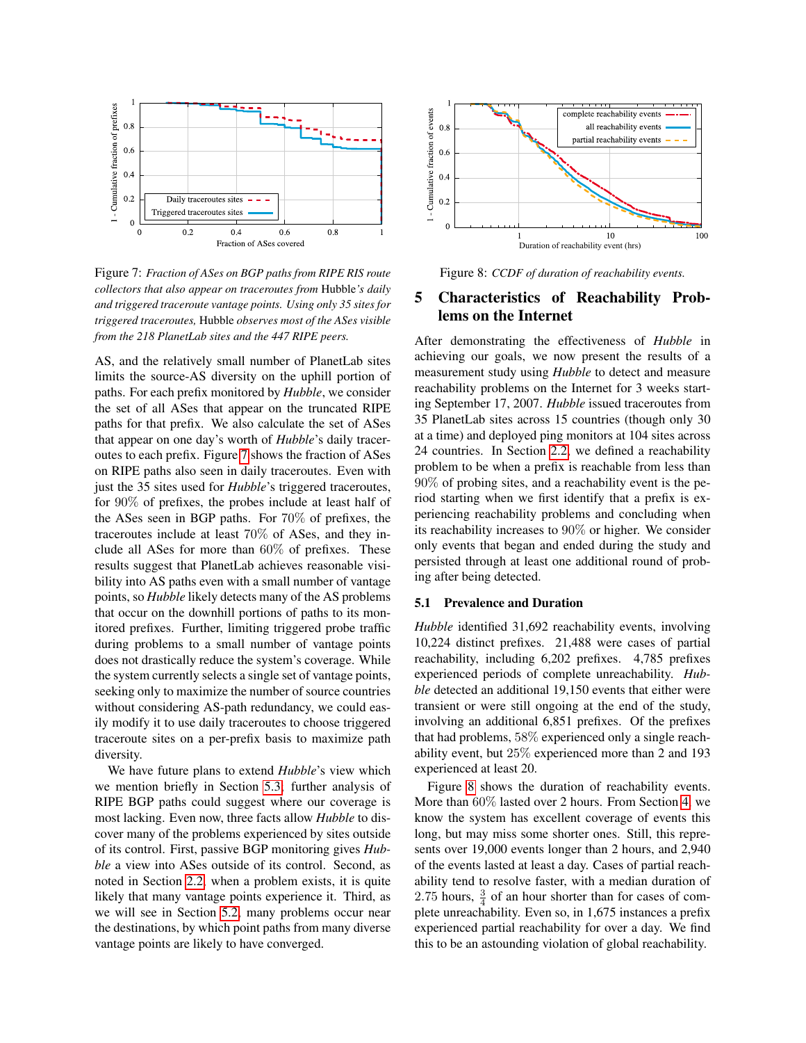

<span id="page-10-1"></span>Figure 7: *Fraction of ASes on BGP paths from RIPE RIS route collectors that also appear on traceroutes from* Hubble*'s daily and triggered traceroute vantage points. Using only 35 sites for triggered traceroutes,* Hubble *observes most of the ASes visible from the 218 PlanetLab sites and the 447 RIPE peers.*

AS, and the relatively small number of PlanetLab sites limits the source-AS diversity on the uphill portion of paths. For each prefix monitored by *Hubble*, we consider the set of all ASes that appear on the truncated RIPE paths for that prefix. We also calculate the set of ASes that appear on one day's worth of *Hubble*'s daily traceroutes to each prefix. Figure [7](#page-10-1) shows the fraction of ASes on RIPE paths also seen in daily traceroutes. Even with just the 35 sites used for *Hubble*'s triggered traceroutes, for 90% of prefixes, the probes include at least half of the ASes seen in BGP paths. For 70% of prefixes, the traceroutes include at least 70% of ASes, and they include all ASes for more than 60% of prefixes. These results suggest that PlanetLab achieves reasonable visibility into AS paths even with a small number of vantage points, so *Hubble* likely detects many of the AS problems that occur on the downhill portions of paths to its monitored prefixes. Further, limiting triggered probe traffic during problems to a small number of vantage points does not drastically reduce the system's coverage. While the system currently selects a single set of vantage points, seeking only to maximize the number of source countries without considering AS-path redundancy, we could easily modify it to use daily traceroutes to choose triggered traceroute sites on a per-prefix basis to maximize path diversity.

<span id="page-10-0"></span>We have future plans to extend *Hubble*'s view which we mention briefly in Section [5.3;](#page-12-0) further analysis of RIPE BGP paths could suggest where our coverage is most lacking. Even now, three facts allow *Hubble* to discover many of the problems experienced by sites outside of its control. First, passive BGP monitoring gives *Hubble* a view into ASes outside of its control. Second, as noted in Section [2.2,](#page-1-1) when a problem exists, it is quite likely that many vantage points experience it. Third, as we will see in Section [5.2,](#page-10-2) many problems occur near the destinations, by which point paths from many diverse vantage points are likely to have converged.



<span id="page-10-3"></span>Figure 8: *CCDF of duration of reachability events.*

# 5 Characteristics of Reachability Problems on the Internet

After demonstrating the effectiveness of *Hubble* in achieving our goals, we now present the results of a measurement study using *Hubble* to detect and measure reachability problems on the Internet for 3 weeks starting September 17, 2007. *Hubble* issued traceroutes from 35 PlanetLab sites across 15 countries (though only 30 at a time) and deployed ping monitors at 104 sites across 24 countries. In Section [2.2,](#page-1-1) we defined a reachability problem to be when a prefix is reachable from less than 90% of probing sites, and a reachability event is the period starting when we first identify that a prefix is experiencing reachability problems and concluding when its reachability increases to 90% or higher. We consider only events that began and ended during the study and persisted through at least one additional round of probing after being detected.

#### 5.1 Prevalence and Duration

*Hubble* identified 31,692 reachability events, involving 10,224 distinct prefixes. 21,488 were cases of partial reachability, including 6,202 prefixes. 4,785 prefixes experienced periods of complete unreachability. *Hubble* detected an additional 19,150 events that either were transient or were still ongoing at the end of the study, involving an additional 6,851 prefixes. Of the prefixes that had problems, 58% experienced only a single reachability event, but 25% experienced more than 2 and 193 experienced at least 20.

<span id="page-10-2"></span>Figure [8](#page-10-3) shows the duration of reachability events. More than 60% lasted over 2 hours. From Section [4,](#page-7-0) we know the system has excellent coverage of events this long, but may miss some shorter ones. Still, this represents over 19,000 events longer than 2 hours, and 2,940 of the events lasted at least a day. Cases of partial reachability tend to resolve faster, with a median duration of 2.75 hours,  $\frac{3}{4}$  of an hour shorter than for cases of complete unreachability. Even so, in 1,675 instances a prefix experienced partial reachability for over a day. We find this to be an astounding violation of global reachability.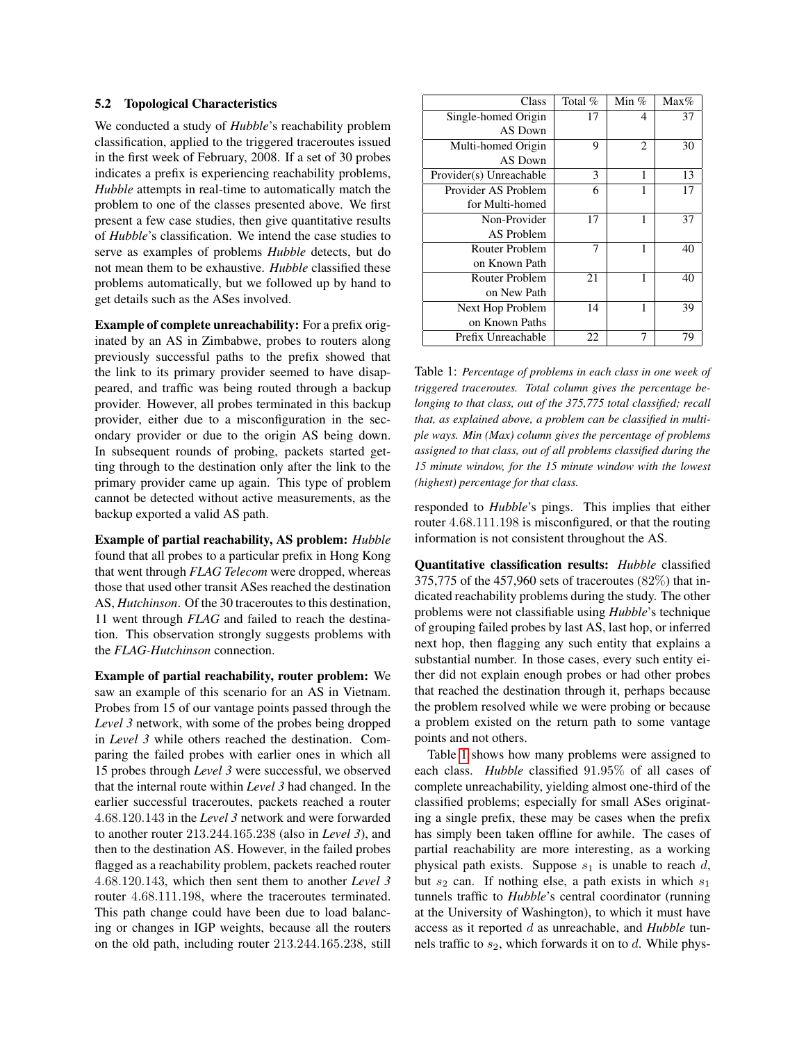#### 5.2 Topological Characteristics

We conducted a study of *Hubble*'s reachability problem classification, applied to the triggered traceroutes issued in the first week of February, 2008. If a set of 30 probes indicates a prefix is experiencing reachability problems, *Hubble* attempts in real-time to automatically match the problem to one of the classes presented above. We first present a few case studies, then give quantitative results of *Hubble*'s classification. We intend the case studies to serve as examples of problems *Hubble* detects, but do not mean them to be exhaustive. *Hubble* classified these problems automatically, but we followed up by hand to get details such as the ASes involved.

Example of complete unreachability: For a prefix originated by an AS in Zimbabwe, probes to routers along previously successful paths to the prefix showed that the link to its primary provider seemed to have disappeared, and traffic was being routed through a backup provider. However, all probes terminated in this backup provider, either due to a misconfiguration in the secondary provider or due to the origin AS being down. In subsequent rounds of probing, packets started getting through to the destination only after the link to the primary provider came up again. This type of problem cannot be detected without active measurements, as the backup exported a valid AS path.

Example of partial reachability, AS problem: *Hubble* found that all probes to a particular prefix in Hong Kong that went through *FLAG Telecom* were dropped, whereas those that used other transit ASes reached the destination AS, *Hutchinson*. Of the 30 traceroutes to this destination, 11 went through *FLAG* and failed to reach the destination. This observation strongly suggests problems with the *FLAG-Hutchinson* connection.

Example of partial reachability, router problem: We saw an example of this scenario for an AS in Vietnam. Probes from 15 of our vantage points passed through the *Level 3* network, with some of the probes being dropped in *Level 3* while others reached the destination. Comparing the failed probes with earlier ones in which all 15 probes through *Level 3* were successful, we observed that the internal route within *Level 3* had changed. In the earlier successful traceroutes, packets reached a router 4.68.120.143 in the *Level 3* network and were forwarded to another router 213.244.165.238 (also in *Level 3*), and then to the destination AS. However, in the failed probes flagged as a reachability problem, packets reached router 4.68.120.143, which then sent them to another *Level 3* router 4.68.111.198, where the traceroutes terminated. This path change could have been due to load balancing or changes in IGP weights, because all the routers on the old path, including router 213.244.165.238, still

| Class                   | Total $%$ | Min % | $Max\%$ |
|-------------------------|-----------|-------|---------|
| Single-homed Origin     | 17        | 4     | 37      |
| AS Down                 |           |       |         |
| Multi-homed Origin      | 9         | 2     | 30      |
| AS Down                 |           |       |         |
| Provider(s) Unreachable | 3         | 1     | 13      |
| Provider AS Problem     | 6         | 1     | 17      |
| for Multi-homed         |           |       |         |
| Non-Provider            | 17        |       | 37      |
| AS Problem              |           |       |         |
| Router Problem          | 7         | 1     | 40      |
| on Known Path           |           |       |         |
| Router Problem          | 21        | 1     | 40      |
| on New Path             |           |       |         |
| Next Hop Problem        | 14        |       | 39      |
| on Known Paths          |           |       |         |
| Prefix Unreachable      | 22        |       | 79      |

<span id="page-11-0"></span>Table 1: *Percentage of problems in each class in one week of triggered traceroutes. Total column gives the percentage belonging to that class, out of the 375,775 total classified; recall that, as explained above, a problem can be classified in multiple ways. Min (Max) column gives the percentage of problems assigned to that class, out of all problems classified during the 15 minute window, for the 15 minute window with the lowest (highest) percentage for that class.*

responded to *Hubble*'s pings. This implies that either router 4.68.111.198 is misconfigured, or that the routing information is not consistent throughout the AS.

Quantitative classification results: *Hubble* classified 375,775 of the 457,960 sets of traceroutes (82%) that indicated reachability problems during the study. The other problems were not classifiable using *Hubble*'s technique of grouping failed probes by last AS, last hop, or inferred next hop, then flagging any such entity that explains a substantial number. In those cases, every such entity either did not explain enough probes or had other probes that reached the destination through it, perhaps because the problem resolved while we were probing or because a problem existed on the return path to some vantage points and not others.

Table [1](#page-11-0) shows how many problems were assigned to each class. *Hubble* classified 91.95% of all cases of complete unreachability, yielding almost one-third of the classified problems; especially for small ASes originating a single prefix, these may be cases when the prefix has simply been taken offline for awhile. The cases of partial reachability are more interesting, as a working physical path exists. Suppose  $s_1$  is unable to reach d, but  $s_2$  can. If nothing else, a path exists in which  $s_1$ tunnels traffic to *Hubble*'s central coordinator (running at the University of Washington), to which it must have access as it reported d as unreachable, and *Hubble* tunnels traffic to  $s_2$ , which forwards it on to d. While phys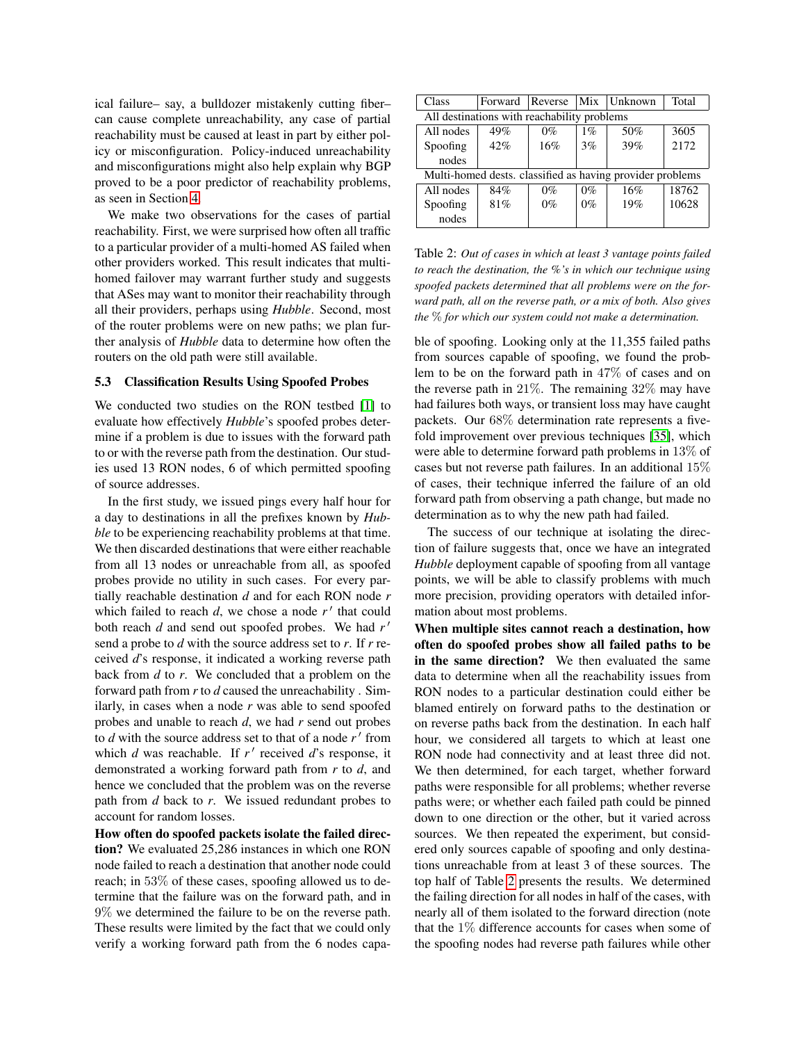ical failure– say, a bulldozer mistakenly cutting fiber– can cause complete unreachability, any case of partial reachability must be caused at least in part by either policy or misconfiguration. Policy-induced unreachability and misconfigurations might also help explain why BGP proved to be a poor predictor of reachability problems, as seen in Section [4.](#page-7-0)

We make two observations for the cases of partial reachability. First, we were surprised how often all traffic to a particular provider of a multi-homed AS failed when other providers worked. This result indicates that multihomed failover may warrant further study and suggests that ASes may want to monitor their reachability through all their providers, perhaps using *Hubble*. Second, most of the router problems were on new paths; we plan further analysis of *Hubble* data to determine how often the routers on the old path were still available.

#### <span id="page-12-0"></span>5.3 Classification Results Using Spoofed Probes

We conducted two studies on the RON testbed [\[1\]](#page-14-1) to evaluate how effectively *Hubble*'s spoofed probes determine if a problem is due to issues with the forward path to or with the reverse path from the destination. Our studies used 13 RON nodes, 6 of which permitted spoofing of source addresses.

In the first study, we issued pings every half hour for a day to destinations in all the prefixes known by *Hubble* to be experiencing reachability problems at that time. We then discarded destinations that were either reachable from all 13 nodes or unreachable from all, as spoofed probes provide no utility in such cases. For every partially reachable destination *d* and for each RON node *r* which failed to reach  $d$ , we chose a node  $r'$  that could both reach *d* and send out spoofed probes. We had  $r'$ send a probe to *d* with the source address set to *r*. If *r* received *d*'s response, it indicated a working reverse path back from *d* to *r*. We concluded that a problem on the forward path from *r* to *d* caused the unreachability . Similarly, in cases when a node *r* was able to send spoofed probes and unable to reach *d*, we had *r* send out probes to  $d$  with the source address set to that of a node  $r'$  from which  $d$  was reachable. If  $r'$  received  $d'$ s response, it demonstrated a working forward path from *r* to *d*, and hence we concluded that the problem was on the reverse path from *d* back to *r*. We issued redundant probes to account for random losses.

How often do spoofed packets isolate the failed direction? We evaluated 25,286 instances in which one RON node failed to reach a destination that another node could reach; in 53% of these cases, spoofing allowed us to determine that the failure was on the forward path, and in 9% we determined the failure to be on the reverse path. These results were limited by the fact that we could only verify a working forward path from the 6 nodes capa-

| Class                                                     | Forward | Reverse |       | Mix Unknown | Total |  |  |
|-----------------------------------------------------------|---------|---------|-------|-------------|-------|--|--|
| All destinations with reachability problems               |         |         |       |             |       |  |  |
| All nodes                                                 | 49%     | $0\%$   | $1\%$ | 50%         | 3605  |  |  |
| Spoofing                                                  | 42%     | 16%     | 3%    | 39%         | 2172  |  |  |
| nodes                                                     |         |         |       |             |       |  |  |
| Multi-homed dests, classified as having provider problems |         |         |       |             |       |  |  |
| All nodes                                                 | 84%     | $0\%$   | $0\%$ | 16%         | 18762 |  |  |
| Spoofing                                                  | 81%     | $0\%$   | $0\%$ | 19%         | 10628 |  |  |
| nodes                                                     |         |         |       |             |       |  |  |

<span id="page-12-1"></span>Table 2: *Out of cases in which at least 3 vantage points failed to reach the destination, the %'s in which our technique using spoofed packets determined that all problems were on the forward path, all on the reverse path, or a mix of both. Also gives the* % *for which our system could not make a determination.*

ble of spoofing. Looking only at the 11,355 failed paths from sources capable of spoofing, we found the problem to be on the forward path in 47% of cases and on the reverse path in 21%. The remaining 32% may have had failures both ways, or transient loss may have caught packets. Our 68% determination rate represents a fivefold improvement over previous techniques [\[35\]](#page-15-8), which were able to determine forward path problems in 13% of cases but not reverse path failures. In an additional 15% of cases, their technique inferred the failure of an old forward path from observing a path change, but made no determination as to why the new path had failed.

The success of our technique at isolating the direction of failure suggests that, once we have an integrated *Hubble* deployment capable of spoofing from all vantage points, we will be able to classify problems with much more precision, providing operators with detailed information about most problems.

When multiple sites cannot reach a destination, how often do spoofed probes show all failed paths to be in the same direction? We then evaluated the same data to determine when all the reachability issues from RON nodes to a particular destination could either be blamed entirely on forward paths to the destination or on reverse paths back from the destination. In each half hour, we considered all targets to which at least one RON node had connectivity and at least three did not. We then determined, for each target, whether forward paths were responsible for all problems; whether reverse paths were; or whether each failed path could be pinned down to one direction or the other, but it varied across sources. We then repeated the experiment, but considered only sources capable of spoofing and only destinations unreachable from at least 3 of these sources. The top half of Table [2](#page-12-1) presents the results. We determined the failing direction for all nodes in half of the cases, with nearly all of them isolated to the forward direction (note that the 1% difference accounts for cases when some of the spoofing nodes had reverse path failures while other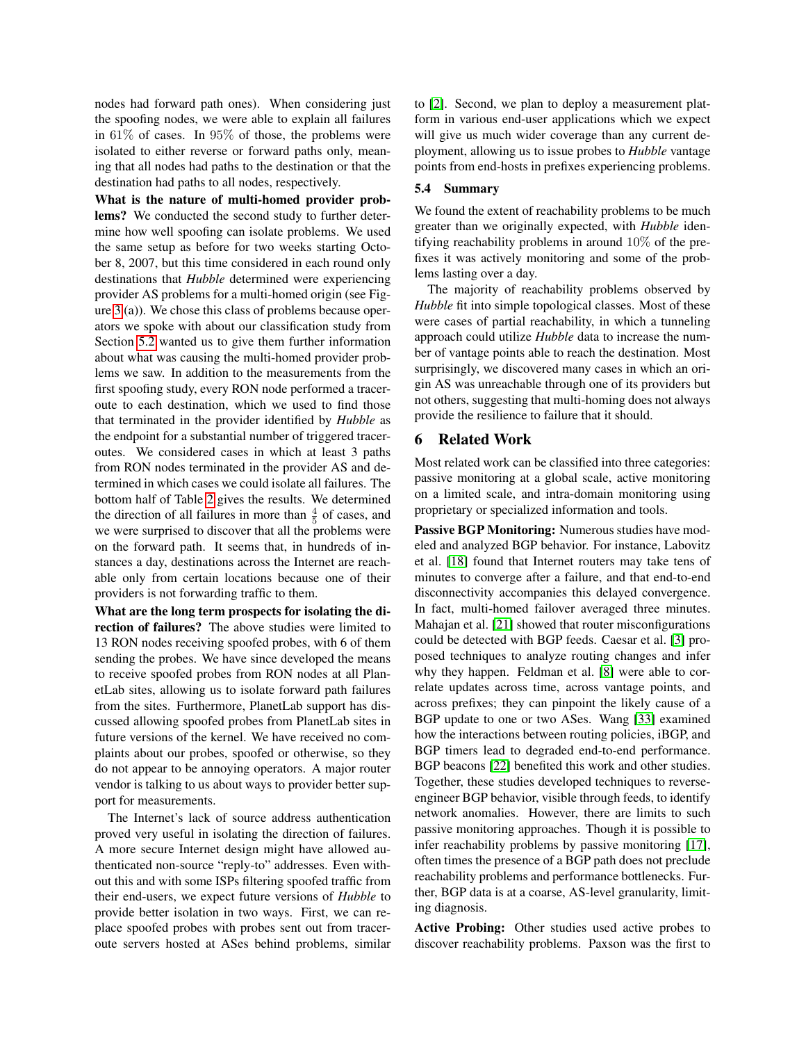nodes had forward path ones). When considering just the spoofing nodes, we were able to explain all failures in 61% of cases. In 95% of those, the problems were isolated to either reverse or forward paths only, meaning that all nodes had paths to the destination or that the destination had paths to all nodes, respectively.

What is the nature of multi-homed provider problems? We conducted the second study to further determine how well spoofing can isolate problems. We used the same setup as before for two weeks starting October 8, 2007, but this time considered in each round only destinations that *Hubble* determined were experiencing provider AS problems for a multi-homed origin (see Figure [3](#page-6-2) (a)). We chose this class of problems because operators we spoke with about our classification study from Section [5.2](#page-10-2) wanted us to give them further information about what was causing the multi-homed provider problems we saw. In addition to the measurements from the first spoofing study, every RON node performed a traceroute to each destination, which we used to find those that terminated in the provider identified by *Hubble* as the endpoint for a substantial number of triggered traceroutes. We considered cases in which at least 3 paths from RON nodes terminated in the provider AS and determined in which cases we could isolate all failures. The bottom half of Table [2](#page-12-1) gives the results. We determined the direction of all failures in more than  $\frac{4}{5}$  of cases, and we were surprised to discover that all the problems were on the forward path. It seems that, in hundreds of instances a day, destinations across the Internet are reachable only from certain locations because one of their providers is not forwarding traffic to them.

What are the long term prospects for isolating the direction of failures? The above studies were limited to 13 RON nodes receiving spoofed probes, with 6 of them sending the probes. We have since developed the means to receive spoofed probes from RON nodes at all PlanetLab sites, allowing us to isolate forward path failures from the sites. Furthermore, PlanetLab support has discussed allowing spoofed probes from PlanetLab sites in future versions of the kernel. We have received no complaints about our probes, spoofed or otherwise, so they do not appear to be annoying operators. A major router vendor is talking to us about ways to provider better support for measurements.

The Internet's lack of source address authentication proved very useful in isolating the direction of failures. A more secure Internet design might have allowed authenticated non-source "reply-to" addresses. Even without this and with some ISPs filtering spoofed traffic from their end-users, we expect future versions of *Hubble* to provide better isolation in two ways. First, we can replace spoofed probes with probes sent out from traceroute servers hosted at ASes behind problems, similar to [\[2\]](#page-14-4). Second, we plan to deploy a measurement platform in various end-user applications which we expect will give us much wider coverage than any current deployment, allowing us to issue probes to *Hubble* vantage points from end-hosts in prefixes experiencing problems.

### 5.4 Summary

We found the extent of reachability problems to be much greater than we originally expected, with *Hubble* identifying reachability problems in around 10% of the prefixes it was actively monitoring and some of the problems lasting over a day.

The majority of reachability problems observed by *Hubble* fit into simple topological classes. Most of these were cases of partial reachability, in which a tunneling approach could utilize *Hubble* data to increase the number of vantage points able to reach the destination. Most surprisingly, we discovered many cases in which an origin AS was unreachable through one of its providers but not others, suggesting that multi-homing does not always provide the resilience to failure that it should.

# <span id="page-13-0"></span>6 Related Work

Most related work can be classified into three categories: passive monitoring at a global scale, active monitoring on a limited scale, and intra-domain monitoring using proprietary or specialized information and tools.

Passive BGP Monitoring: Numerous studies have modeled and analyzed BGP behavior. For instance, Labovitz et al. [\[18\]](#page-15-11) found that Internet routers may take tens of minutes to converge after a failure, and that end-to-end disconnectivity accompanies this delayed convergence. In fact, multi-homed failover averaged three minutes. Mahajan et al. [\[21\]](#page-15-20) showed that router misconfigurations could be detected with BGP feeds. Caesar et al. [\[3\]](#page-14-2) proposed techniques to analyze routing changes and infer why they happen. Feldman et al. [\[8\]](#page-15-10) were able to correlate updates across time, across vantage points, and across prefixes; they can pinpoint the likely cause of a BGP update to one or two ASes. Wang [\[33\]](#page-15-12) examined how the interactions between routing policies, iBGP, and BGP timers lead to degraded end-to-end performance. BGP beacons [\[22\]](#page-15-21) benefited this work and other studies. Together, these studies developed techniques to reverseengineer BGP behavior, visible through feeds, to identify network anomalies. However, there are limits to such passive monitoring approaches. Though it is possible to infer reachability problems by passive monitoring [\[17\]](#page-15-22), often times the presence of a BGP path does not preclude reachability problems and performance bottlenecks. Further, BGP data is at a coarse, AS-level granularity, limiting diagnosis.

Active Probing: Other studies used active probes to discover reachability problems. Paxson was the first to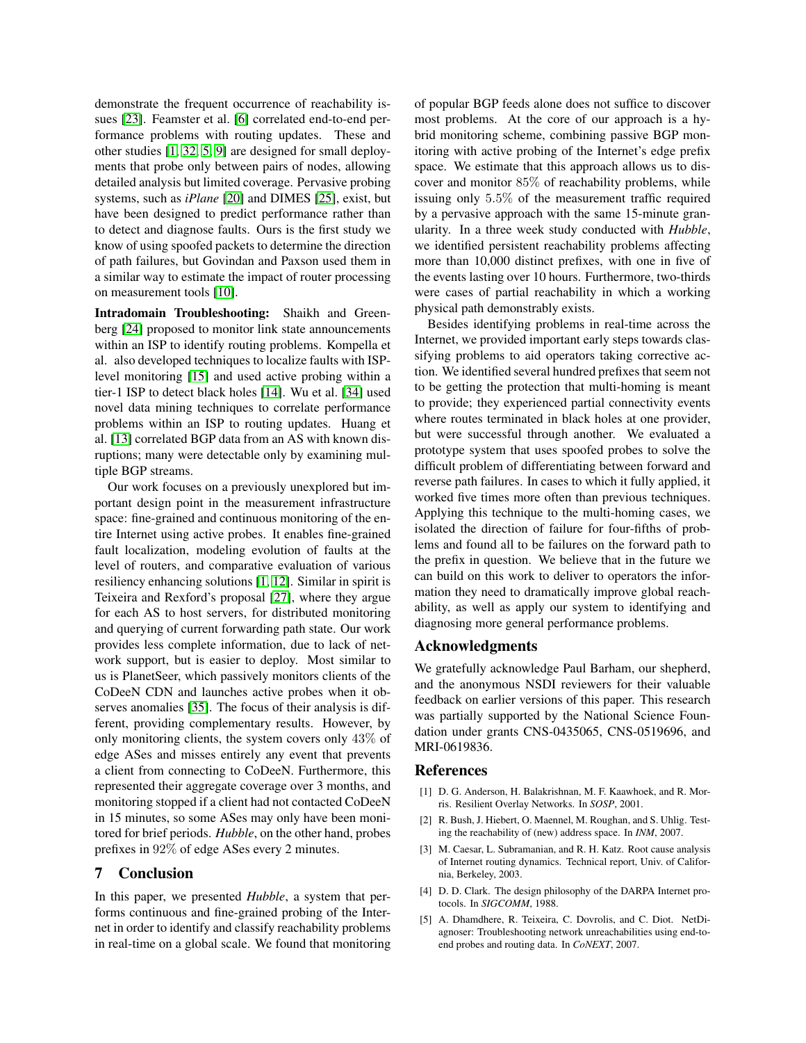demonstrate the frequent occurrence of reachability issues [\[23\]](#page-15-3). Feamster et al. [\[6\]](#page-15-4) correlated end-to-end performance problems with routing updates. These and other studies [\[1,](#page-14-1) [32,](#page-15-23) [5,](#page-14-5) [9\]](#page-15-24) are designed for small deployments that probe only between pairs of nodes, allowing detailed analysis but limited coverage. Pervasive probing systems, such as *iPlane* [\[20\]](#page-15-9) and DIMES [\[25\]](#page-15-25), exist, but have been designed to predict performance rather than to detect and diagnose faults. Ours is the first study we know of using spoofed packets to determine the direction of path failures, but Govindan and Paxson used them in a similar way to estimate the impact of router processing on measurement tools [\[10\]](#page-15-26).

Intradomain Troubleshooting: Shaikh and Greenberg [\[24\]](#page-15-7) proposed to monitor link state announcements within an ISP to identify routing problems. Kompella et al. also developed techniques to localize faults with ISPlevel monitoring [\[15\]](#page-15-27) and used active probing within a tier-1 ISP to detect black holes [\[14\]](#page-15-28). Wu et al. [\[34\]](#page-15-6) used novel data mining techniques to correlate performance problems within an ISP to routing updates. Huang et al. [\[13\]](#page-15-29) correlated BGP data from an AS with known disruptions; many were detectable only by examining multiple BGP streams.

Our work focuses on a previously unexplored but important design point in the measurement infrastructure space: fine-grained and continuous monitoring of the entire Internet using active probes. It enables fine-grained fault localization, modeling evolution of faults at the level of routers, and comparative evaluation of various resiliency enhancing solutions [\[1,](#page-14-1) [12\]](#page-15-5). Similar in spirit is Teixeira and Rexford's proposal [\[27\]](#page-15-30), where they argue for each AS to host servers, for distributed monitoring and querying of current forwarding path state. Our work provides less complete information, due to lack of network support, but is easier to deploy. Most similar to us is PlanetSeer, which passively monitors clients of the CoDeeN CDN and launches active probes when it observes anomalies [\[35\]](#page-15-8). The focus of their analysis is different, providing complementary results. However, by only monitoring clients, the system covers only 43% of edge ASes and misses entirely any event that prevents a client from connecting to CoDeeN. Furthermore, this represented their aggregate coverage over 3 months, and monitoring stopped if a client had not contacted CoDeeN in 15 minutes, so some ASes may only have been monitored for brief periods. *Hubble*, on the other hand, probes prefixes in 92% of edge ASes every 2 minutes.

# <span id="page-14-3"></span>7 Conclusion

In this paper, we presented *Hubble*, a system that performs continuous and fine-grained probing of the Internet in order to identify and classify reachability problems in real-time on a global scale. We found that monitoring of popular BGP feeds alone does not suffice to discover most problems. At the core of our approach is a hybrid monitoring scheme, combining passive BGP monitoring with active probing of the Internet's edge prefix space. We estimate that this approach allows us to discover and monitor 85% of reachability problems, while issuing only 5.5% of the measurement traffic required by a pervasive approach with the same 15-minute granularity. In a three week study conducted with *Hubble*, we identified persistent reachability problems affecting more than 10,000 distinct prefixes, with one in five of the events lasting over 10 hours. Furthermore, two-thirds were cases of partial reachability in which a working physical path demonstrably exists.

Besides identifying problems in real-time across the Internet, we provided important early steps towards classifying problems to aid operators taking corrective action. We identified several hundred prefixes that seem not to be getting the protection that multi-homing is meant to provide; they experienced partial connectivity events where routes terminated in black holes at one provider, but were successful through another. We evaluated a prototype system that uses spoofed probes to solve the difficult problem of differentiating between forward and reverse path failures. In cases to which it fully applied, it worked five times more often than previous techniques. Applying this technique to the multi-homing cases, we isolated the direction of failure for four-fifths of problems and found all to be failures on the forward path to the prefix in question. We believe that in the future we can build on this work to deliver to operators the information they need to dramatically improve global reachability, as well as apply our system to identifying and diagnosing more general performance problems.

## Acknowledgments

We gratefully acknowledge Paul Barham, our shepherd, and the anonymous NSDI reviewers for their valuable feedback on earlier versions of this paper. This research was partially supported by the National Science Foundation under grants CNS-0435065, CNS-0519696, and MRI-0619836.

### References

- <span id="page-14-1"></span>[1] D. G. Anderson, H. Balakrishnan, M. F. Kaawhoek, and R. Morris. Resilient Overlay Networks. In *SOSP*, 2001.
- <span id="page-14-4"></span>[2] R. Bush, J. Hiebert, O. Maennel, M. Roughan, and S. Uhlig. Testing the reachability of (new) address space. In *INM*, 2007.
- <span id="page-14-2"></span>[3] M. Caesar, L. Subramanian, and R. H. Katz. Root cause analysis of Internet routing dynamics. Technical report, Univ. of California, Berkeley, 2003.
- <span id="page-14-0"></span>[4] D. D. Clark. The design philosophy of the DARPA Internet protocols. In *SIGCOMM*, 1988.
- <span id="page-14-5"></span>[5] A. Dhamdhere, R. Teixeira, C. Dovrolis, and C. Diot. NetDiagnoser: Troubleshooting network unreachabilities using end-toend probes and routing data. In *CoNEXT*, 2007.